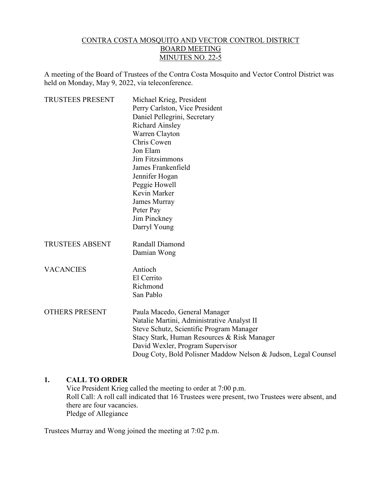### CONTRA COSTA MOSQUITO AND VECTOR CONTROL DISTRICT BOARD MEETING MINUTES NO. 22-5

A meeting of the Board of Trustees of the Contra Costa Mosquito and Vector Control District was held on Monday, May 9, 2022, via teleconference.

| <b>TRUSTEES PRESENT</b> | Michael Krieg, President                                       |
|-------------------------|----------------------------------------------------------------|
|                         | Perry Carlston, Vice President                                 |
|                         | Daniel Pellegrini, Secretary                                   |
|                         | <b>Richard Ainsley</b>                                         |
|                         | Warren Clayton                                                 |
|                         | Chris Cowen                                                    |
|                         | Jon Elam                                                       |
|                         | Jim Fitzsimmons                                                |
|                         | James Frankenfield                                             |
|                         | Jennifer Hogan                                                 |
|                         | Peggie Howell                                                  |
|                         | Kevin Marker                                                   |
|                         | James Murray                                                   |
|                         | Peter Pay                                                      |
|                         | Jim Pinckney                                                   |
|                         | Darryl Young                                                   |
| <b>TRUSTEES ABSENT</b>  | Randall Diamond                                                |
|                         | Damian Wong                                                    |
| <b>VACANCIES</b>        | Antioch                                                        |
|                         | El Cerrito                                                     |
|                         | Richmond                                                       |
|                         | San Pablo                                                      |
|                         |                                                                |
| OTHERS PRESENT          | Paula Macedo, General Manager                                  |
|                         | Natalie Martini, Administrative Analyst II                     |
|                         | Steve Schutz, Scientific Program Manager                       |
|                         | Stacy Stark, Human Resources & Risk Manager                    |
|                         | David Wexler, Program Supervisor                               |
|                         | Doug Coty, Bold Polisner Maddow Nelson & Judson, Legal Counsel |
|                         |                                                                |

#### **1. CALL TO ORDER**

Vice President Krieg called the meeting to order at 7:00 p.m. Roll Call: A roll call indicated that 16 Trustees were present, two Trustees were absent, and there are four vacancies. Pledge of Allegiance

Trustees Murray and Wong joined the meeting at 7:02 p.m.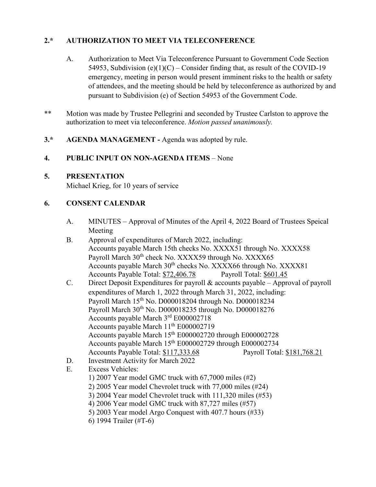# **2.\* AUTHORIZATION TO MEET VIA TELECONFERENCE**

- A. Authorization to Meet Via Teleconference Pursuant to Government Code Section 54953, Subdivision (e)(1)(C) – Consider finding that, as result of the COVID-19 emergency, meeting in person would present imminent risks to the health or safety of attendees, and the meeting should be held by teleconference as authorized by and pursuant to Subdivision (e) of Section 54953 of the Government Code.
- \*\* Motion was made by Trustee Pellegrini and seconded by Trustee Carlston to approve the authorization to meet via teleconference. *Motion passed unanimously.*
- **3.\* AGENDA MANAGEMENT -** Agenda was adopted by rule.

#### **4. PUBLIC INPUT ON NON-AGENDA ITEMS** – None

#### **5. PRESENTATION**

Michael Krieg, for 10 years of service

## **6. CONSENT CALENDAR**

- A. MINUTES Approval of Minutes of the April 4, 2022 Board of Trustees Speical Meeting
- B. Approval of expenditures of March 2022, including: Accounts payable March 15th checks No. XXXX51 through No. XXXX58 Payroll March 30<sup>th</sup> check No. XXXX59 through No. XXXX65 Accounts payable March 30<sup>th</sup> checks No. XXXX66 through No. XXXX81 Accounts Payable Total: \$72,406.78 Payroll Total: \$601.45
- C. Direct Deposit Expenditures for payroll & accounts payable Approval of payroll expenditures of March 1, 2022 through March 31, 2022, including: Payroll March 15th No. D000018204 through No. D000018234 Payroll March 30th No. D000018235 through No. D000018276 Accounts payable March 3rd E000002718 Accounts payable March 11<sup>th</sup> E000002719 Accounts payable March 15th E000002720 through E000002728 Accounts payable March 15<sup>th</sup> E000002729 through E000002734 Accounts Payable Total: \$117,333.68 Payroll Total: \$181,768.21
- D. Investment Activity for March 2022
- E. Excess Vehicles: 1) 2007 Year model GMC truck with 67,7000 miles (#2) 2) 2005 Year model Chevrolet truck with 77,000 miles (#24) 3) 2004 Year model Chevrolet truck with 111,320 miles (#53) 4) 2006 Year model GMC truck with 87,727 miles (#57) 5) 2003 Year model Argo Conquest with 407.7 hours (#33) 6) 1994 Trailer (#T-6)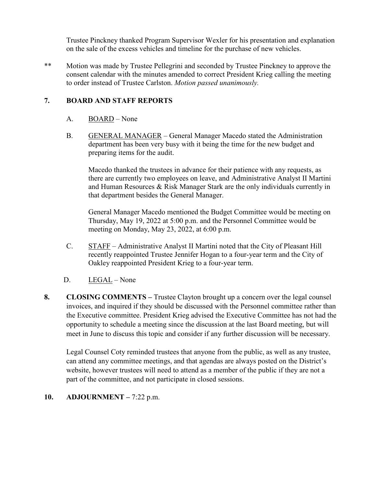Trustee Pinckney thanked Program Supervisor Wexler for his presentation and explanation on the sale of the excess vehicles and timeline for the purchase of new vehicles.

\*\* Motion was made by Trustee Pellegrini and seconded by Trustee Pinckney to approve the consent calendar with the minutes amended to correct President Krieg calling the meeting to order instead of Trustee Carlston. *Motion passed unanimously.*

### **7. BOARD AND STAFF REPORTS**

- A. BOARD None
- B. GENERAL MANAGER General Manager Macedo stated the Administration department has been very busy with it being the time for the new budget and preparing items for the audit.

Macedo thanked the trustees in advance for their patience with any requests, as there are currently two employees on leave, and Administrative Analyst II Martini and Human Resources & Risk Manager Stark are the only individuals currently in that department besides the General Manager.

General Manager Macedo mentioned the Budget Committee would be meeting on Thursday, May 19, 2022 at 5:00 p.m. and the Personnel Committee would be meeting on Monday, May 23, 2022, at 6:00 p.m.

- C. STAFF Administrative Analyst II Martini noted that the City of Pleasant Hill recently reappointed Trustee Jennifer Hogan to a four-year term and the City of Oakley reappointed President Krieg to a four-year term.
- D. LEGAL None
- **8. CLOSING COMMENTS –** Trustee Clayton brought up a concern over the legal counsel invoices, and inquired if they should be discussed with the Personnel committee rather than the Executive committee. President Krieg advised the Executive Committee has not had the opportunity to schedule a meeting since the discussion at the last Board meeting, but will meet in June to discuss this topic and consider if any further discussion will be necessary.

Legal Counsel Coty reminded trustees that anyone from the public, as well as any trustee, can attend any committee meetings, and that agendas are always posted on the District's website, however trustees will need to attend as a member of the public if they are not a part of the committee, and not participate in closed sessions.

#### **10. ADJOURNMENT –** 7:22 p.m.